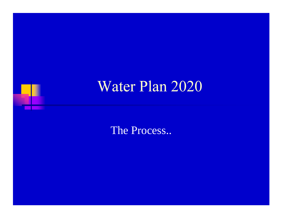# Water Plan 2020

The Process..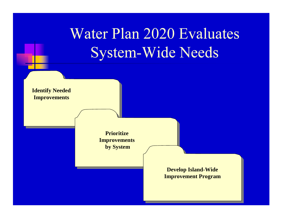# Water Plan 2020 Evaluates **System-Wide Needs**

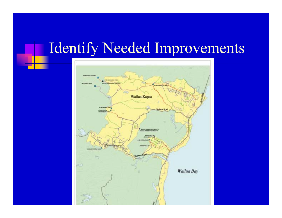# **Identify Needed Improvements**

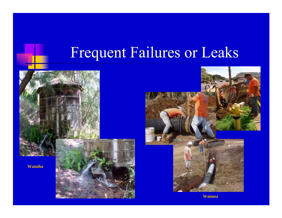# Frequent Failures or Leaks





**Waimea**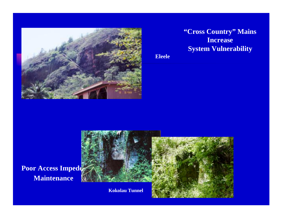

#### **"Cross Country" Mains Increase System Vulnerability**

**Eleele**



**Poor Access Impede Maintenance**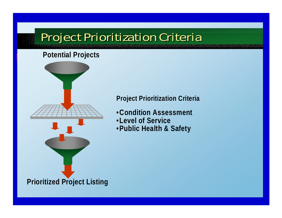### Project Prioritization Criteria

#### **Potential Projects**



#### **Project Prioritization Criteria**

- •**Condition Assessment**
- •**Level of Service**
- •**Public Health & Safety**

#### **Prioritized Project Listing**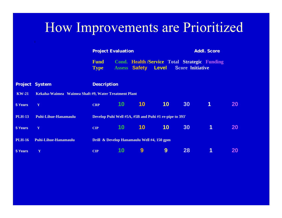### How Improvements are Prioritized

|                   |                             | <b>Project Evaluation</b>                              |                 |                      |       | <b>Addl. Score</b>      |                                               |           |  |
|-------------------|-----------------------------|--------------------------------------------------------|-----------------|----------------------|-------|-------------------------|-----------------------------------------------|-----------|--|
|                   |                             | <b>Fund</b><br><b>Type</b>                             |                 | <b>Assess Safety</b> | Level | <b>Score Initiative</b> | Cond. Health /Service Total Strategic Funding |           |  |
|                   | oject System                | <b>Description</b>                                     |                 |                      |       |                         |                                               |           |  |
| $W-21$            |                             | Kekaha-Waimea Waimea Shaft #9, Water Treatment Plant   |                 |                      |       |                         |                                               |           |  |
| ears <sup>'</sup> | $\mathbf Y$                 | <b>CRP</b>                                             | <b>10</b>       | <b>10</b>            | 10    | 30                      | 1                                             | <b>20</b> |  |
| $H-13$            | <b>Puhi-Lihue-Hanamaulu</b> | Develop Puhi Well #5A, #5B and Puhi #1 re-pipe to 393' |                 |                      |       |                         |                                               |           |  |
| 'ears             | $\mathbf Y$                 | <b>CIP</b>                                             | 10 <sup>°</sup> | 10                   | 10    | 30                      | 1                                             | <b>20</b> |  |
| $H-16$            | <b>Puhi-Lihue-Hanamaulu</b> | Drill & Develop Hanamaulu Well #4, 150 gpm             |                 |                      |       |                         |                                               |           |  |
| ears <sup></sup>  | Y                           | <b>CIP</b>                                             | 10              | 9                    | 9     | 28                      |                                               | <b>20</b> |  |

 $P<sub>I</sub>$ 

K

 $5<sup>1</sup>$ 

PI

 $5<sup>1</sup>$ 

PL

 $5<sup>5</sup>$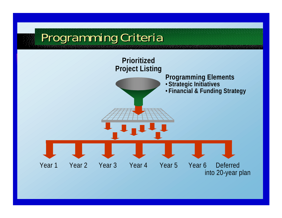### Programming Criteria

![](_page_7_Figure_1.jpeg)